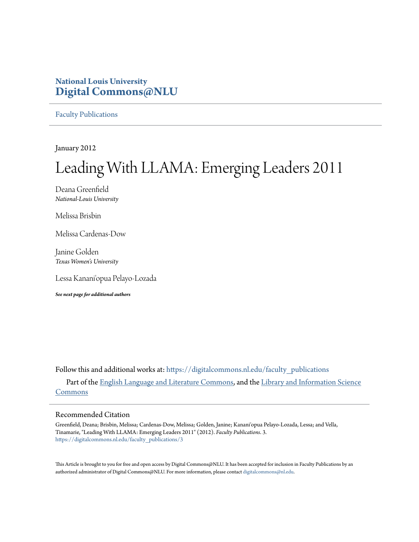### **National Louis University [Digital Commons@NLU](https://digitalcommons.nl.edu?utm_source=digitalcommons.nl.edu%2Ffaculty_publications%2F3&utm_medium=PDF&utm_campaign=PDFCoverPages)**

[Faculty Publications](https://digitalcommons.nl.edu/faculty_publications?utm_source=digitalcommons.nl.edu%2Ffaculty_publications%2F3&utm_medium=PDF&utm_campaign=PDFCoverPages)

January 2012

# Leading With LLAMA: Emerging Leaders 2011

Deana Greenfield *National-Louis University*

Melissa Brisbin

Melissa Cardenas-Dow

Janine Golden *Texas Women's University*

Lessa Kanani'opua Pelayo-Lozada

*See next page for additional authors*

Follow this and additional works at: [https://digitalcommons.nl.edu/faculty\\_publications](https://digitalcommons.nl.edu/faculty_publications?utm_source=digitalcommons.nl.edu%2Ffaculty_publications%2F3&utm_medium=PDF&utm_campaign=PDFCoverPages) Part of the [English Language and Literature Commons](http://network.bepress.com/hgg/discipline/455?utm_source=digitalcommons.nl.edu%2Ffaculty_publications%2F3&utm_medium=PDF&utm_campaign=PDFCoverPages), and the [Library and Information Science](http://network.bepress.com/hgg/discipline/1018?utm_source=digitalcommons.nl.edu%2Ffaculty_publications%2F3&utm_medium=PDF&utm_campaign=PDFCoverPages) [Commons](http://network.bepress.com/hgg/discipline/1018?utm_source=digitalcommons.nl.edu%2Ffaculty_publications%2F3&utm_medium=PDF&utm_campaign=PDFCoverPages)

#### Recommended Citation

Greenfield, Deana; Brisbin, Melissa; Cardenas-Dow, Melissa; Golden, Janine; Kanani'opua Pelayo-Lozada, Lessa; and Vella, Tinamarie, "Leading With LLAMA: Emerging Leaders 2011" (2012). *Faculty Publications*. 3. [https://digitalcommons.nl.edu/faculty\\_publications/3](https://digitalcommons.nl.edu/faculty_publications/3?utm_source=digitalcommons.nl.edu%2Ffaculty_publications%2F3&utm_medium=PDF&utm_campaign=PDFCoverPages)

This Article is brought to you for free and open access by Digital Commons@NLU. It has been accepted for inclusion in Faculty Publications by an authorized administrator of Digital Commons@NLU. For more information, please contact [digitalcommons@nl.edu](mailto:digitalcommons@nl.edu).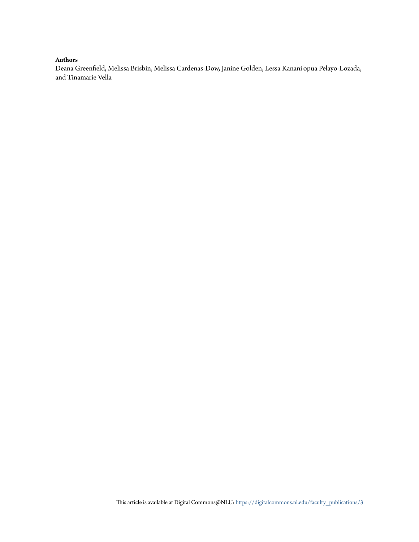#### **Authors**

Deana Greenfield, Melissa Brisbin, Melissa Cardenas-Dow, Janine Golden, Lessa Kanani'opua Pelayo-Lozada, and Tinamarie Vella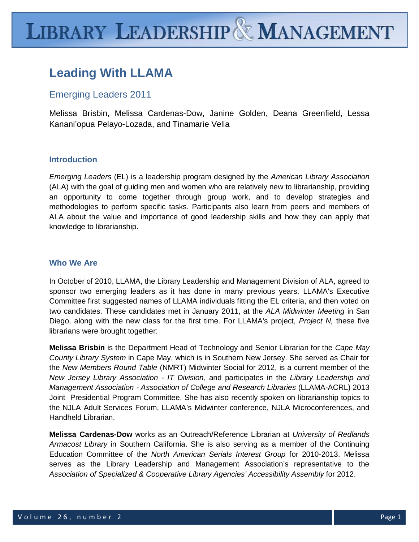# **Leading With LLAMA**

## Emerging Leaders 2011

Melissa Brisbin, Melissa Cardenas-Dow, Janine Golden, Deana Greenfield, Lessa Kanani'opua Pelayo-Lozada, and Tinamarie Vella

#### **Introduction**

*Emerging Leaders* (EL) is a leadership program designed by the *American Library Association* (ALA) with the goal of guiding men and women who are relatively new to librarianship, providing an opportunity to come together through group work, and to develop strategies and methodologies to perform specific tasks. Participants also learn from peers and members of ALA about the value and importance of good leadership skills and how they can apply that knowledge to librarianship.

#### **Who We Are**

In October of 2010, LLAMA, the Library Leadership and Management Division of ALA, agreed to sponsor two emerging leaders as it has done in many previous years. LLAMA's Executive Committee first suggested names of LLAMA individuals fitting the EL criteria, and then voted on two candidates. These candidates met in January 2011, at the *ALA Midwinter Meeting* in San Diego, along with the new class for the first time. For LLAMA's project, *Project N,* these five librarians were brought together:

**Melissa Brisbin** is the Department Head of Technology and Senior Librarian for the *Cape May County Library System* in Cape May, which is in Southern New Jersey. She served as Chair for the *New Members Round Table* (NMRT) Midwinter Social for 2012, is a current member of the *New Jersey Library Association - IT Division*, and participates in the *Library Leadership and Management Association - Association of College and Research Libraries* (LLAMA-ACRL) 2013 Joint Presidential Program Committee. She has also recently spoken on librarianship topics to the NJLA Adult Services Forum, LLAMA's Midwinter conference, NJLA Microconferences, and Handheld Librarian.

**Melissa Cardenas-Dow** works as an Outreach/Reference Librarian at *University of Redlands Armacost Library* in Southern California. She is also serving as a member of the Continuing Education Committee of the *North American Serials Interest Group* for 2010-2013. Melissa serves as the Library Leadership and Management Association's representative to the *Association of Specialized & Cooperative Library Agencies' Accessibility Assembly* for 2012.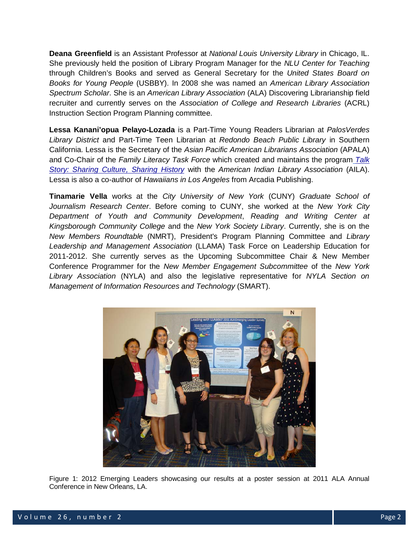**Deana Greenfield** is an Assistant Professor at *National Louis University Library* in Chicago, IL. She previously held the position of Library Program Manager for the *NLU Center for Teaching*  through Children's Books and served as General Secretary for the *United States Board on Books for Young People* (USBBY). In 2008 she was named an *American Library Association Spectrum Scholar*. She is an *American Library Association* (ALA) Discovering Librarianship field recruiter and currently serves on the *Association of College and Research Libraries* (ACRL) Instruction Section Program Planning committee.

**Lessa Kanani'opua Pelayo-Lozada** is a Part-Time Young Readers Librarian at *PalosVerdes Library District* and Part-Time Teen Librarian at *Redondo Beach Public Library* in Southern California. Lessa is the Secretary of the *Asian Pacific American Librarians Association* (APALA) and Co-Chair of the *Family Literacy Task Force* which created and maintains the program *[Talk](http://www.talkstorytogether.org/)  [Story: Sharing Culture, Sharing History](http://www.talkstorytogether.org/)* with the *American Indian Library Association* (AILA). Lessa is also a co-author of *Hawaiians in Los Angeles* from Arcadia Publishing.

**Tinamarie Vella** works at the *City University of New York* (CUNY) *Graduate School of Journalism Research Center*. Before coming to CUNY, she worked at the *New York City Department of Youth and Community Development*, *Reading and Writing Center at Kingsborough Community College* and the *New York Society Library*. Currently, she is on the *New Members Roundtable* (NMRT), President's Program Planning Committee and *Library Leadership and Management Association* (LLAMA) Task Force on Leadership Education for 2011-2012. She currently serves as the Upcoming Subcommittee Chair & New Member Conference Programmer for the *New Member Engagement Subcommittee* of the *New York Library Association* (NYLA) and also the legislative representative for *NYLA Section on Management of Information Resources and Technology* (SMART).



Figure 1: 2012 Emerging Leaders showcasing our results at a poster session at 2011 ALA Annual Conference in New Orleans, LA.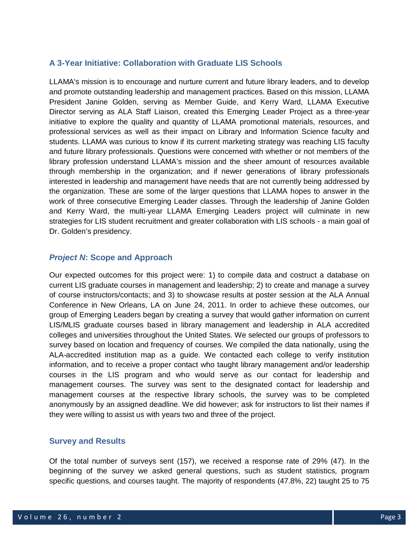#### **A 3-Year Initiative: Collaboration with Graduate LIS Schools**

LLAMA's mission is to encourage and nurture current and future library leaders, and to develop and promote outstanding leadership and management practices. Based on this mission, LLAMA President Janine Golden, serving as Member Guide, and Kerry Ward, LLAMA Executive Director serving as ALA Staff Liaison, created this Emerging Leader Project as a three-year initiative to explore the quality and quantity of LLAMA promotional materials, resources, and professional services as well as their impact on Library and Information Science faculty and students. LLAMA was curious to know if its current marketing strategy was reaching LIS faculty and future library professionals. Questions were concerned with whether or not members of the library profession understand LLAMA's mission and the sheer amount of resources available through membership in the organization; and if newer generations of library professionals interested in leadership and management have needs that are not currently being addressed by the organization. These are some of the larger questions that LLAMA hopes to answer in the work of three consecutive Emerging Leader classes. Through the leadership of Janine Golden and Kerry Ward, the multi-year LLAMA Emerging Leaders project will culminate in new strategies for LIS student recruitment and greater collaboration with LIS schools - a main goal of Dr. Golden's presidency.

#### *Project N***: Scope and Approach**

Our expected outcomes for this project were: 1) to compile data and costruct a database on current LIS graduate courses in management and leadership; 2) to create and manage a survey of course instructors/contacts; and 3) to showcase results at poster session at the ALA Annual Conference in New Orleans, LA on June 24, 2011. In order to achieve these outcomes, our group of Emerging Leaders began by creating a survey that would gather information on current LIS/MLIS graduate courses based in library management and leadership in ALA accredited colleges and universities throughout the United States. We selected our groups of professors to survey based on location and frequency of courses. We compiled the data nationally, using the ALA-accredited institution map as a guide. We contacted each college to verify institution information, and to receive a proper contact who taught library management and/or leadership courses in the LIS program and who would serve as our contact for leadership and management courses. The survey was sent to the designated contact for leadership and management courses at the respective library schools, the survey was to be completed anonymously by an assigned deadline. We did however; ask for instructors to list their names if they were willing to assist us with years two and three of the project.

#### **Survey and Results**

Of the total number of surveys sent (157), we received a response rate of 29% (47). In the beginning of the survey we asked general questions, such as student statistics, program specific questions, and courses taught. The majority of respondents (47.8%, 22) taught 25 to 75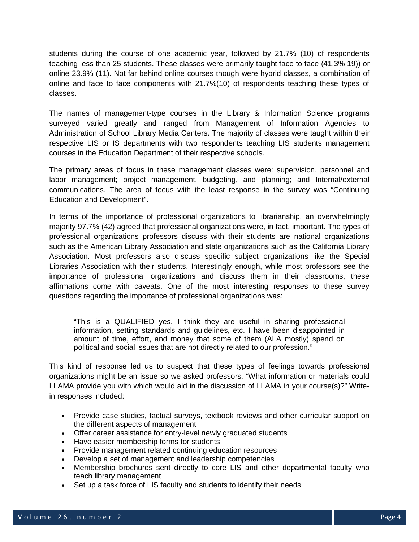students during the course of one academic year, followed by 21.7% (10) of respondents teaching less than 25 students. These classes were primarily taught face to face (41.3% 19)) or online 23.9% (11). Not far behind online courses though were hybrid classes, a combination of online and face to face components with 21.7%(10) of respondents teaching these types of classes.

The names of management-type courses in the Library & Information Science programs surveyed varied greatly and ranged from Management of Information Agencies to Administration of School Library Media Centers. The majority of classes were taught within their respective LIS or IS departments with two respondents teaching LIS students management courses in the Education Department of their respective schools.

The primary areas of focus in these management classes were: supervision, personnel and labor management; project management, budgeting, and planning; and Internal/external communications. The area of focus with the least response in the survey was "Continuing Education and Development".

In terms of the importance of professional organizations to librarianship, an overwhelmingly majority 97.7% (42) agreed that professional organizations were, in fact, important. The types of professional organizations professors discuss with their students are national organizations such as the American Library Association and state organizations such as the California Library Association. Most professors also discuss specific subject organizations like the Special Libraries Association with their students. Interestingly enough, while most professors see the importance of professional organizations and discuss them in their classrooms, these affirmations come with caveats. One of the most interesting responses to these survey questions regarding the importance of professional organizations was:

"This is a QUALIFIED yes. I think they are useful in sharing professional information, setting standards and guidelines, etc. I have been disappointed in amount of time, effort, and money that some of them (ALA mostly) spend on political and social issues that are not directly related to our profession."

This kind of response led us to suspect that these types of feelings towards professional organizations might be an issue so we asked professors, "What information or materials could LLAMA provide you with which would aid in the discussion of LLAMA in your course(s)?" Writein responses included:

- Provide case studies, factual surveys, textbook reviews and other curricular support on the different aspects of management
- Offer career assistance for entry-level newly graduated students
- Have easier membership forms for students
- Provide management related continuing education resources
- Develop a set of management and leadership competencies
- Membership brochures sent directly to core LIS and other departmental faculty who teach library management
- Set up a task force of LIS faculty and students to identify their needs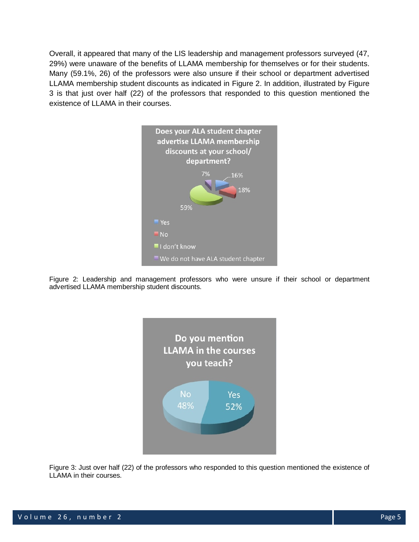Overall, it appeared that many of the LIS leadership and management professors surveyed (47, 29%) were unaware of the benefits of LLAMA membership for themselves or for their students. Many (59.1%, 26) of the professors were also unsure if their school or department advertised LLAMA membership student discounts as indicated in Figure 2. In addition, illustrated by Figure 3 is that just over half (22) of the professors that responded to this question mentioned the existence of LLAMA in their courses.



Figure 2: Leadership and management professors who were unsure if their school or department advertised LLAMA membership student discounts.



Figure 3: Just over half (22) of the professors who responded to this question mentioned the existence of LLAMA in their courses.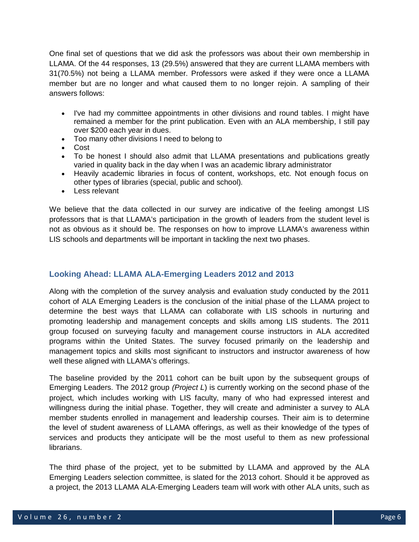One final set of questions that we did ask the professors was about their own membership in LLAMA. Of the 44 responses, 13 (29.5%) answered that they are current LLAMA members with 31(70.5%) not being a LLAMA member. Professors were asked if they were once a LLAMA member but are no longer and what caused them to no longer rejoin. A sampling of their answers follows:

- I've had my committee appointments in other divisions and round tables. I might have remained a member for the print publication. Even with an ALA membership, I still pay over \$200 each year in dues.
- Too many other divisions I need to belong to
- Cost
- To be honest I should also admit that LLAMA presentations and publications greatly varied in quality back in the day when I was an academic library administrator
- Heavily academic libraries in focus of content, workshops, etc. Not enough focus on other types of libraries (special, public and school).
- Less relevant

We believe that the data collected in our survey are indicative of the feeling amongst LIS professors that is that LLAMA's participation in the growth of leaders from the student level is not as obvious as it should be. The responses on how to improve LLAMA's awareness within LIS schools and departments will be important in tackling the next two phases.

#### **Looking Ahead: LLAMA ALA-Emerging Leaders 2012 and 2013**

Along with the completion of the survey analysis and evaluation study conducted by the 2011 cohort of ALA Emerging Leaders is the conclusion of the initial phase of the LLAMA project to determine the best ways that LLAMA can collaborate with LIS schools in nurturing and promoting leadership and management concepts and skills among LIS students. The 2011 group focused on surveying faculty and management course instructors in ALA accredited programs within the United States. The survey focused primarily on the leadership and management topics and skills most significant to instructors and instructor awareness of how well these aligned with LLAMA's offerings.

The baseline provided by the 2011 cohort can be built upon by the subsequent groups of Emerging Leaders. The 2012 group *(Project L*) is currently working on the second phase of the project, which includes working with LIS faculty, many of who had expressed interest and willingness during the initial phase. Together, they will create and administer a survey to ALA member students enrolled in management and leadership courses. Their aim is to determine the level of student awareness of LLAMA offerings, as well as their knowledge of the types of services and products they anticipate will be the most useful to them as new professional librarians.

The third phase of the project, yet to be submitted by LLAMA and approved by the ALA Emerging Leaders selection committee, is slated for the 2013 cohort. Should it be approved as a project, the 2013 LLAMA ALA-Emerging Leaders team will work with other ALA units, such as